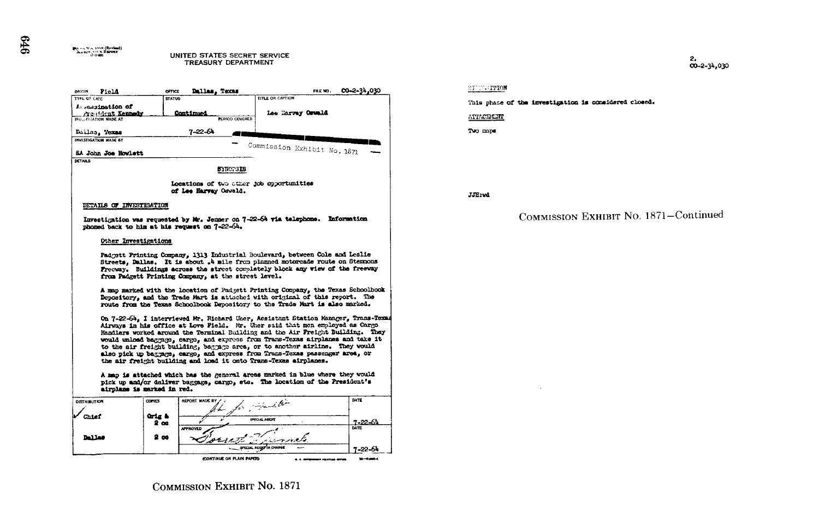

Locations of two other job opportunities of Lee Harvey Oswald.

## DETAILS OF INVESTIGATION

**Pyrramid (Revised)**<br>Concession of Revised)<br>(7-1-60)

Investigation was requested by Mr. Jenner on 7-22-64 via telephone. Information phoned back to him at his request on 7-22-64.

## Other Investigations

Padgett Printing Company, 1313 Industrial Boulevard, between Cole and Leslie Streets, Dallas. It is about .4 mile from planned motorcade route on Stemmons Freeway. Buildings across the street completely block any view of the freeway from Padgett Printing Company, at the street level.

A map marked with the location of Padgett Printing Company, the Texas Schoolbook Depository, and the Trade Mart is attached with original of this report. The route from the Texas Schoolbook Depository to the Trade Mart is also marked.

On 7-22-64, I interviewed Mr. Richard Uner, Assistant Station Manager, Trans-Texas Airways in his office at Love Field. Mr. Uher said that men employed as Cargo Handlers worked around the Terminal Building and the Air Freight Building. They would unload baggage, cargo, and express from Trans-Texas airplanes and take it to the air freight building, baggage area, or to another sirline. They would also pick up baggage, cargo, and express from Trans-Texas passenger area. or the air freight building and load it onto Trans-Texas airplanes.

A map is attached which has the general areas marked in blue where they would pick up and/or deliver baggage, cargo, etc. The location of the President's airplane is marked in red.



**STEP-HTION** 

This phase of the investigation is considered closed.

ATTACIDENT

Two maps

JJH:vd

COMMISSION EXHIBIT NO. 1871-Continued